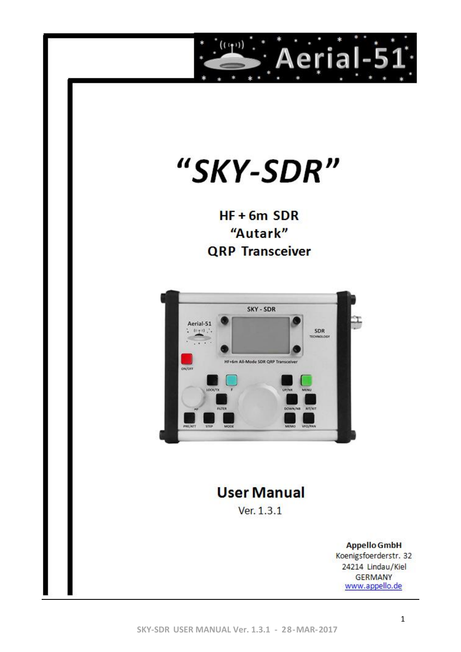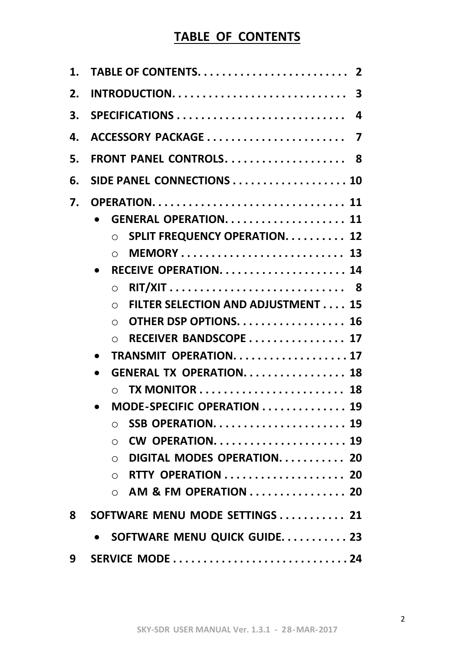# **TABLE OF CONTENTS**

| 1. | $\mathbf 2$                                            |
|----|--------------------------------------------------------|
| 2. | $\overline{\mathbf{3}}$                                |
| 3. | SPECIFICATIONS<br>4                                    |
| 4. | ACCESSORY PACKAGE<br>$\overline{\mathbf{z}}$           |
| 5. | FRONT PANEL CONTROLS. 8                                |
| 6. | SIDE PANEL CONNECTIONS  10                             |
| 7. | <b>OPERATION 11</b>                                    |
|    | <b>GENERAL OPERATION.  11</b>                          |
|    | <b>SPLIT FREQUENCY OPERATION. 12</b><br>$\bigcirc$     |
|    | <b>MEMORY 13</b><br>$\bigcirc$                         |
|    |                                                        |
|    | RIT/XIT 8<br>$\bigcap$                                 |
|    | <b>FILTER SELECTION AND ADJUSTMENT 15</b><br>$\bigcap$ |
|    | OTHER DSP OPTIONS. 16<br>◯                             |
|    | RECEIVER BANDSCOPE 17<br>$\bigcap$                     |
|    | TRANSMIT OPERATION17                                   |
|    | <b>GENERAL TX OPERATION 18</b>                         |
|    |                                                        |
|    | MODE-SPECIFIC OPERATION 19                             |
|    | SSB OPERATION 19<br>◯                                  |
|    | CW OPERATION 19<br>◯                                   |
|    | DIGITAL MODES OPERATION 20<br>$\bigcirc$               |
|    | RTTY OPERATION 20<br>◯                                 |
|    | AM & FM OPERATION  20<br>$\bigcap$                     |
| 8  | SOFTWARE MENU MODE SETTINGS  21                        |
|    | SOFTWARE MENU QUICK GUIDE 23                           |
| 9  |                                                        |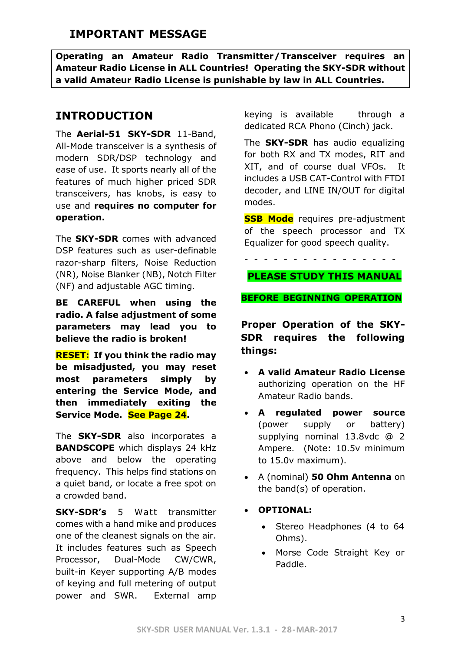# **IMPORTANT MESSAGE**

**Operating an Amateur Radio Transmitter/Transceiver requires an Amateur Radio License in ALL Countries! Operating the SKY-SDR without a valid Amateur Radio License is punishable by law in ALL Countries.**

# **INTRODUCTION**

The **Aerial-51 SKY-SDR** 11-Band, All-Mode transceiver is a synthesis of modern SDR/DSP technology and ease of use. It sports nearly all of the features of much higher priced SDR transceivers, has knobs, is easy to use and **requires no computer for operation.** 

The **SKY-SDR** comes with advanced DSP features such as user-definable razor-sharp filters, Noise Reduction (NR), Noise Blanker (NB), Notch Filter (NF) and adjustable AGC timing.

**BE CAREFUL when using the radio. A false adjustment of some parameters may lead you to believe the radio is broken!** 

**RESET: If you think the radio may be misadjusted, you may reset most parameters simply by entering the Service Mode, and then immediately exiting the Service Mode. See Page 24.**

The **SKY-SDR** also incorporates a **BANDSCOPE** which displays 24 kHz above and below the operating frequency. This helps find stations on a quiet band, or locate a free spot on a crowded band.

**SKY-SDR's** 5 Watt transmitter comes with a hand mike and produces one of the cleanest signals on the air. It includes features such as Speech Processor, Dual-Mode CW/CWR, built-in Keyer supporting A/B modes of keying and full metering of output power and SWR. External amp

keying is available through a dedicated RCA Phono (Cinch) jack.

The **SKY-SDR** has audio equalizing for both RX and TX modes, RIT and XIT, and of course dual VFOs. It includes a USB CAT-Control with FTDI decoder, and LINE IN/OUT for digital modes.

**SSB Mode** requires pre-adjustment of the speech processor and TX Equalizer for good speech quality.

- - - - - - - - - - - - - - - -

## **PLEASE STUDY THIS MANUAL**

#### **BEFORE BEGINNING OPERATION**

**Proper Operation of the SKY-SDR requires the following things:**

- **A valid Amateur Radio License** authorizing operation on the HF Amateur Radio bands.
- **A regulated power source** (power supply or battery) supplying nominal 13.8vdc @ 2 Ampere. (Note: 10.5v minimum to 15.0v maximum).
- A (nominal) **50 Ohm Antenna** on the band(s) of operation.
- **OPTIONAL:**
	- Stereo Headphones (4 to 64 Ohms).
	- Morse Code Straight Key or Paddle.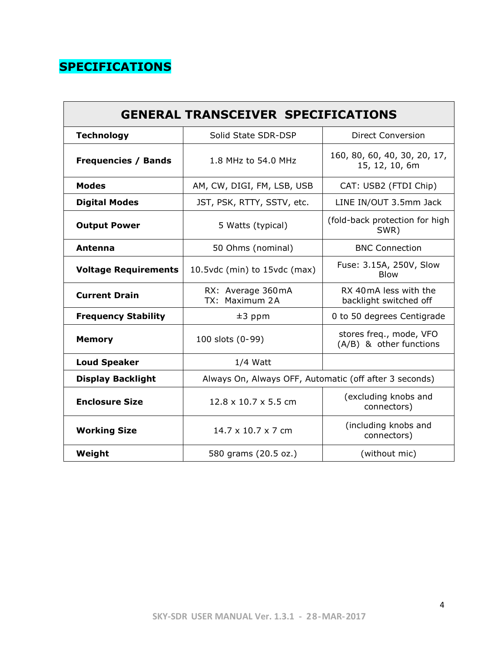# **SPECIFICATIONS**

| <b>GENERAL TRANSCEIVER SPECIFICATIONS</b>                 |                                                        |                                                    |  |  |  |  |
|-----------------------------------------------------------|--------------------------------------------------------|----------------------------------------------------|--|--|--|--|
| <b>Technology</b>                                         | Solid State SDR-DSP                                    | <b>Direct Conversion</b>                           |  |  |  |  |
| <b>Frequencies / Bands</b>                                | 1.8 MHz to 54.0 MHz                                    | 160, 80, 60, 40, 30, 20, 17,<br>15, 12, 10, 6m     |  |  |  |  |
| <b>Modes</b>                                              | AM, CW, DIGI, FM, LSB, USB                             | CAT: USB2 (FTDI Chip)                              |  |  |  |  |
| <b>Digital Modes</b>                                      | JST, PSK, RTTY, SSTV, etc.                             | LINE IN/OUT 3.5mm Jack                             |  |  |  |  |
| <b>Output Power</b>                                       | 5 Watts (typical)                                      | (fold-back protection for high<br>SWR)             |  |  |  |  |
| Antenna                                                   | 50 Ohms (nominal)                                      | <b>BNC Connection</b>                              |  |  |  |  |
| <b>Voltage Requirements</b>                               | 10.5vdc (min) to 15vdc (max)                           | Fuse: 3.15A, 250V, Slow<br><b>Blow</b>             |  |  |  |  |
| <b>Current Drain</b>                                      | RX: Average 360mA<br>TX: Maximum 2A                    | RX 40 mA less with the<br>backlight switched off   |  |  |  |  |
| <b>Frequency Stability</b>                                | $±3$ ppm                                               | 0 to 50 degrees Centigrade                         |  |  |  |  |
| <b>Memory</b>                                             | 100 slots (0-99)                                       | stores freq., mode, VFO<br>(A/B) & other functions |  |  |  |  |
| <b>Loud Speaker</b>                                       | $1/4$ Watt                                             |                                                    |  |  |  |  |
| <b>Display Backlight</b>                                  | Always On, Always OFF, Automatic (off after 3 seconds) |                                                    |  |  |  |  |
| <b>Enclosure Size</b><br>$12.8 \times 10.7 \times 5.5$ cm |                                                        | (excluding knobs and<br>connectors)                |  |  |  |  |
| <b>Working Size</b>                                       | $14.7 \times 10.7 \times 7$ cm                         | (including knobs and<br>connectors)                |  |  |  |  |
| Weight                                                    | 580 grams (20.5 oz.)<br>(without mic)                  |                                                    |  |  |  |  |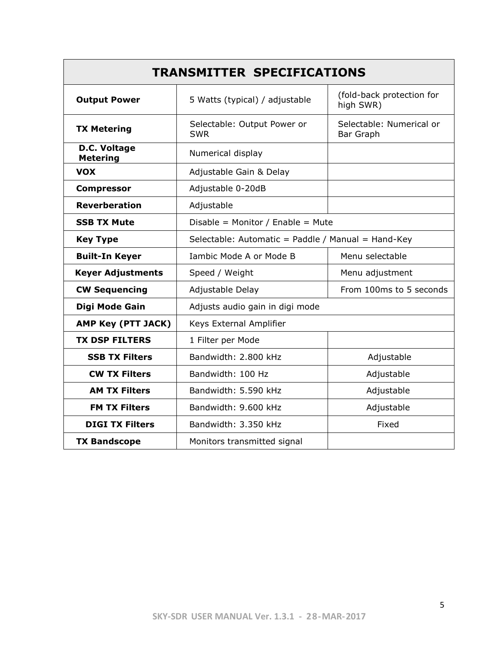| <b>TRANSMITTER SPECIFICATIONS</b> |                                                                          |                                              |  |  |  |  |
|-----------------------------------|--------------------------------------------------------------------------|----------------------------------------------|--|--|--|--|
| <b>Output Power</b>               | (fold-back protection for<br>5 Watts (typical) / adjustable<br>high SWR) |                                              |  |  |  |  |
| <b>TX Metering</b>                | Selectable: Output Power or<br><b>SWR</b>                                | Selectable: Numerical or<br><b>Bar Graph</b> |  |  |  |  |
| D.C. Voltage<br><b>Metering</b>   | Numerical display                                                        |                                              |  |  |  |  |
| <b>VOX</b>                        | Adjustable Gain & Delay                                                  |                                              |  |  |  |  |
| <b>Compressor</b>                 | Adjustable 0-20dB                                                        |                                              |  |  |  |  |
| <b>Reverberation</b>              | Adjustable                                                               |                                              |  |  |  |  |
| <b>SSB TX Mute</b>                | Disable = Monitor / Enable = Mute                                        |                                              |  |  |  |  |
| <b>Key Type</b>                   | Selectable: Automatic = Paddle / Manual = Hand-Key                       |                                              |  |  |  |  |
| <b>Built-In Keyer</b>             | Iambic Mode A or Mode B                                                  | Menu selectable                              |  |  |  |  |
| <b>Keyer Adjustments</b>          | Speed / Weight                                                           | Menu adjustment                              |  |  |  |  |
| <b>CW Sequencing</b>              | Adjustable Delay<br>From 100ms to 5 seconds                              |                                              |  |  |  |  |
| Digi Mode Gain                    | Adjusts audio gain in digi mode                                          |                                              |  |  |  |  |
| AMP Key (PTT JACK)                | Keys External Amplifier                                                  |                                              |  |  |  |  |
| <b>TX DSP FILTERS</b>             | 1 Filter per Mode                                                        |                                              |  |  |  |  |
| <b>SSB TX Filters</b>             | Bandwidth: 2.800 kHz                                                     | Adjustable                                   |  |  |  |  |
| <b>CW TX Filters</b>              | Bandwidth: 100 Hz                                                        | Adjustable                                   |  |  |  |  |
| <b>AM TX Filters</b>              | Bandwidth: 5.590 kHz                                                     | Adjustable                                   |  |  |  |  |
| <b>FM TX Filters</b>              | Bandwidth: 9.600 kHz                                                     | Adjustable                                   |  |  |  |  |
| <b>DIGI TX Filters</b>            | Bandwidth: 3.350 kHz<br>Fixed                                            |                                              |  |  |  |  |
| <b>TX Bandscope</b>               | Monitors transmitted signal                                              |                                              |  |  |  |  |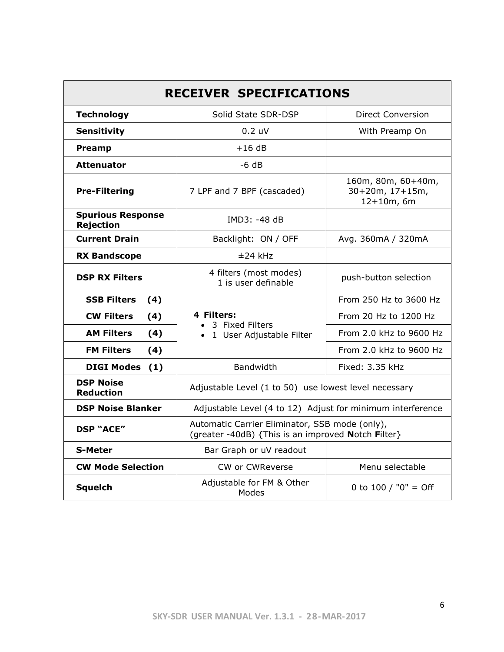| <b>RECEIVER SPECIFICATIONS</b>               |                                                                                                      |                                                          |  |  |  |  |
|----------------------------------------------|------------------------------------------------------------------------------------------------------|----------------------------------------------------------|--|--|--|--|
| <b>Technology</b>                            | Solid State SDR-DSP                                                                                  | Direct Conversion                                        |  |  |  |  |
| <b>Sensitivity</b>                           | 0.2 uV                                                                                               | With Preamp On                                           |  |  |  |  |
| Preamp                                       | $+16dB$                                                                                              |                                                          |  |  |  |  |
| <b>Attenuator</b>                            | $-6 dB$                                                                                              |                                                          |  |  |  |  |
| <b>Pre-Filtering</b>                         | 7 LPF and 7 BPF (cascaded)                                                                           | 160m, 80m, 60+40m,<br>30+20m, 17+15m,<br>$12 + 10m$ , 6m |  |  |  |  |
| <b>Spurious Response</b><br><b>Rejection</b> | IMD3: -48 dB                                                                                         |                                                          |  |  |  |  |
| <b>Current Drain</b>                         | Backlight: ON / OFF                                                                                  | Avg. 360mA / 320mA                                       |  |  |  |  |
| <b>RX Bandscope</b>                          | $±24$ kHz                                                                                            |                                                          |  |  |  |  |
| <b>DSP RX Filters</b>                        | 4 filters (most modes)<br>1 is user definable                                                        | push-button selection                                    |  |  |  |  |
| <b>SSB Filters</b><br>(4)                    |                                                                                                      | From 250 Hz to 3600 Hz                                   |  |  |  |  |
| <b>CW Filters</b><br>(4)                     | 4 Filters:<br>• 3 Fixed Filters<br>• 1 User Adjustable Filter                                        | From 20 Hz to 1200 Hz                                    |  |  |  |  |
| <b>AM Filters</b><br>(4)                     |                                                                                                      | From 2.0 kHz to 9600 Hz                                  |  |  |  |  |
| <b>FM Filters</b><br>(4)                     |                                                                                                      | From 2.0 kHz to 9600 Hz                                  |  |  |  |  |
| <b>DIGI Modes</b><br>(1)                     | Bandwidth                                                                                            | Fixed: 3.35 kHz                                          |  |  |  |  |
| <b>DSP Noise</b><br><b>Reduction</b>         | Adjustable Level (1 to 50) use lowest level necessary                                                |                                                          |  |  |  |  |
| <b>DSP Noise Blanker</b>                     | Adjustable Level (4 to 12) Adjust for minimum interference                                           |                                                          |  |  |  |  |
| <b>DSP "ACE"</b>                             | Automatic Carrier Eliminator, SSB mode (only),<br>(greater -40dB) {This is an improved Notch Filter} |                                                          |  |  |  |  |
| <b>S-Meter</b>                               | Bar Graph or uV readout                                                                              |                                                          |  |  |  |  |
| <b>CW Mode Selection</b>                     | CW or CWReverse                                                                                      | Menu selectable                                          |  |  |  |  |
| <b>Squelch</b>                               | Adjustable for FM & Other<br>Modes                                                                   | 0 to 100 / "0" = Off                                     |  |  |  |  |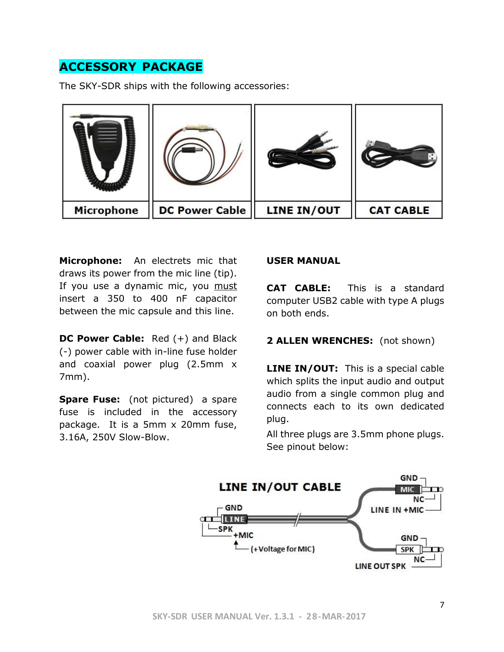# **ACCESSORY PACKAGE**

The SKY-SDR ships with the following accessories:



**Microphone:** An electrets mic that draws its power from the mic line (tip). If you use a dynamic mic, you must insert a 350 to 400 nF capacitor between the mic capsule and this line.

**DC Power Cable:** Red (+) and Black (-) power cable with in-line fuse holder and coaxial power plug (2.5mm x 7mm).

**Spare Fuse:** (not pictured) a spare fuse is included in the accessory package. It is a 5mm x 20mm fuse, 3.16A, 250V Slow-Blow.

#### **USER MANUAL**

**CAT CABLE:** This is a standard computer USB2 cable with type A plugs on both ends.

#### **2 ALLEN WRENCHES:** (not shown)

**LINE IN/OUT:** This is a special cable which splits the input audio and output audio from a single common plug and connects each to its own dedicated plug.

All three plugs are 3.5mm phone plugs. See pinout below:

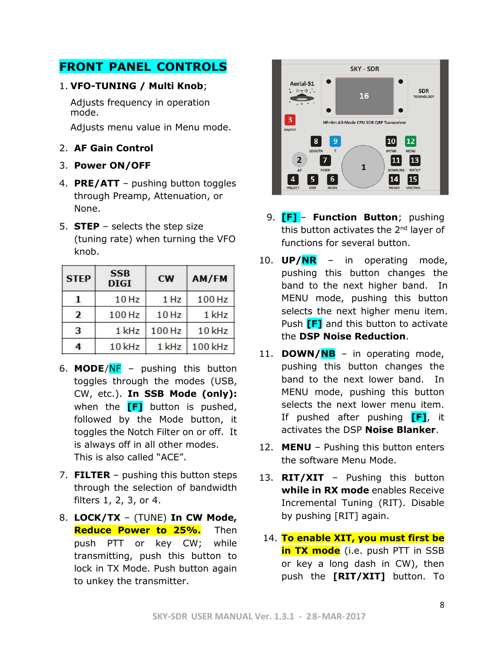# **FRONT PANEL CONTROLS**

#### 1. **VFO-TUNING / Multi Knob**;

Adjusts frequency in operation mode.

Adjusts menu value in Menu mode.

- 2. **AF Gain Control**
- 3. **Power ON/OFF**
- 4. **PRE/ATT** pushing button toggles through Preamp, Attenuation, or None.
- 5. **STEP** selects the step size (tuning rate) when turning the VFO knob.

| <b>STEP</b>    | <b>SSB</b><br><b>DIGI</b> | <b>CW</b> | AM/FM   |
|----------------|---------------------------|-----------|---------|
|                | 10 Hz                     | 1 Hz      | 100 Hz  |
| $\overline{2}$ | 100 Hz                    | 10 Hz     | 1 kHz   |
| 3              | 1 kHz                     | 100 Hz    | 10 kHz  |
| 4              | 10 kHz                    | 1 kHz     | 100 kHz |

- 6. **MODE**/NF pushing this button toggles through the modes (USB, CW, etc.). **In SSB Mode (only):** when the **[F]** button is pushed, followed by the Mode button, it toggles the Notch Filter on or off. It is always off in all other modes. This is also called "ACE".
- 7. **FILTER** pushing this button steps through the selection of bandwidth filters 1, 2, 3, or 4.
- 8. **LOCK/TX** (TUNE) **In CW Mode, Reduce Power to 25%.** Then push PTT or key CW; while transmitting, push this button to lock in TX Mode. Push button again to unkey the transmitter.



- 9. **[F]**.– **Function Button**; pushing this button activates the  $2<sup>nd</sup>$  layer of functions for several button.
- 10. **UP/NR** in operating mode, pushing this button changes the band to the next higher band. In MENU mode, pushing this button selects the next higher menu item. Push **[F]** and this button to activate the **DSP Noise Reduction**.
- 11. **DOWN/NB** in operating mode, pushing this button changes the band to the next lower band. In MENU mode, pushing this button selects the next lower menu item. If pushed after pushing **[F]**, it activates the DSP **Noise Blanker**.
- 12. **MENU** Pushing this button enters the software Menu Mode.
- 13. **RIT/XIT** Pushing this button **while in RX mode** enables Receive Incremental Tuning (RIT). Disable by pushing [RIT] again.
- 14. **To enable XIT, you must first be in TX mode** (i.e. push PTT in SSB or key a long dash in CW), then push the **[RIT/XIT]** button. To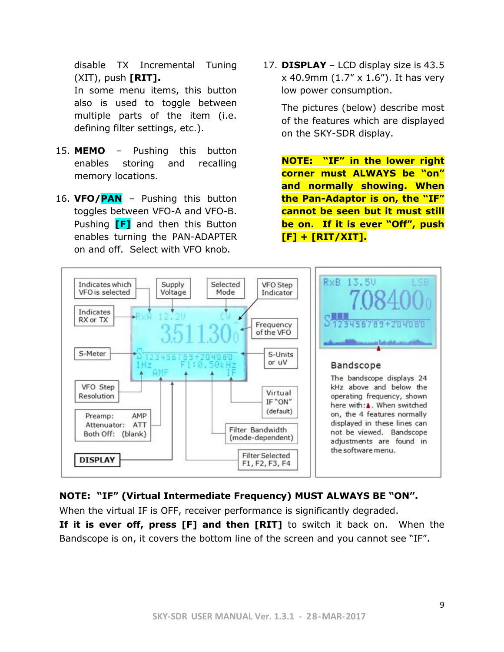disable TX Incremental Tuning (XIT), push **[RIT].**

In some menu items, this button also is used to toggle between multiple parts of the item (i.e. defining filter settings, etc.).

- 15. **MEMO** Pushing this button enables storing and recalling memory locations.
- 16. **VFO/PAN** Pushing this button toggles between VFO-A and VFO-B. Pushing **[F]** and then this Button enables turning the PAN-ADAPTER on and off. Select with VFO knob.

17. **DISPLAY** – LCD display size is 43.5  $x$  40.9mm (1.7"  $x$  1.6"). It has very low power consumption.

The pictures (below) describe most of the features which are displayed on the SKY-SDR display.

**NOTE: "IF" in the lower right corner must ALWAYS be "on" and normally showing. When the Pan-Adaptor is on, the "IF" cannot be seen but it must still be on. If it is ever "Off", push [F] + [RIT/XIT].**



#### **NOTE: "IF" (Virtual Intermediate Frequency) MUST ALWAYS BE "ON".**

When the virtual IF is OFF, receiver performance is significantly degraded.

**If it is ever off, press [F] and then [RIT]** to switch it back on. When the Bandscope is on, it covers the bottom line of the screen and you cannot see "IF".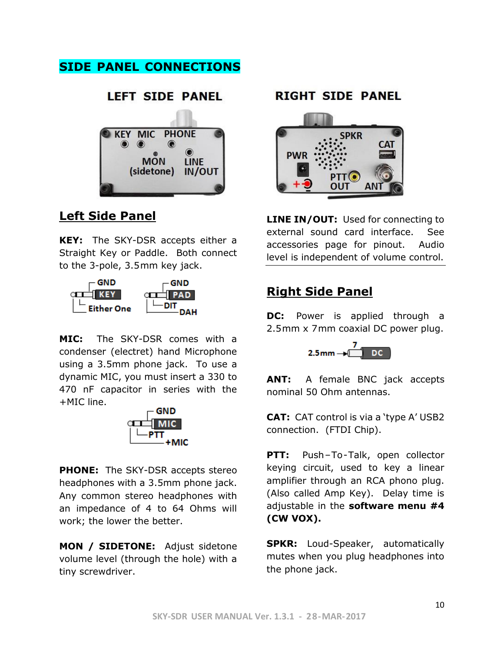# **SIDE PANEL CONNECTIONS**



# **Left Side Panel**

**KEY:** The SKY-DSR accepts either a Straight Key or Paddle. Both connect to the 3-pole, 3.5mm key jack.



**MIC:** The SKY-DSR comes with a condenser (electret) hand Microphone using a 3.5mm phone jack. To use a dynamic MIC, you must insert a 330 to 470 nF capacitor in series with the +MIC line.



**PHONE:** The SKY-DSR accepts stereo headphones with a 3.5mm phone jack. Any common stereo headphones with an impedance of 4 to 64 Ohms will work; the lower the better.

**MON / SIDETONE:** Adjust sidetone volume level (through the hole) with a tiny screwdriver.

## **RIGHT SIDE PANEL**



**LINE IN/OUT:** Used for connecting to external sound card interface. See accessories page for pinout. Audio level is independent of volume control.

# **Right Side Panel**

**DC:** Power is applied through a 2.5mm x 7mm coaxial DC power plug.



**ANT:** A female BNC jack accepts nominal 50 Ohm antennas.

**CAT:** CAT control is via a 'type A' USB2 connection. (FTDI Chip).

**PTT:** Push-To-Talk, open collector keying circuit, used to key a linear amplifier through an RCA phono plug. (Also called Amp Key). Delay time is adjustable in the **software menu #4 (CW VOX).**

**SPKR:** Loud-Speaker, automatically mutes when you plug headphones into the phone jack.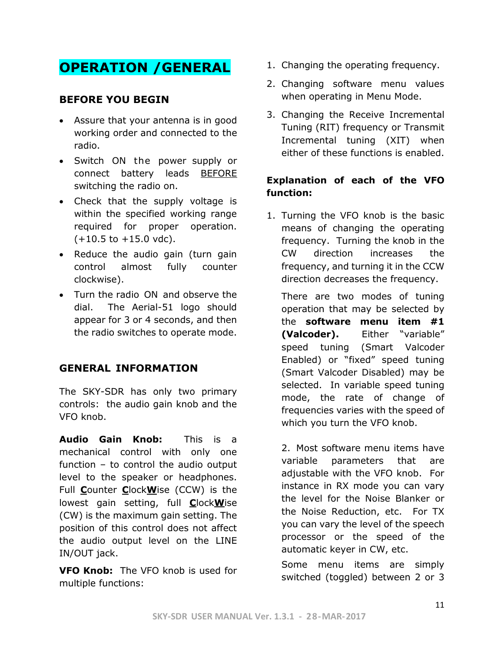# **OPERATION /GENERAL**

## **BEFORE YOU BEGIN**

- Assure that your antenna is in good working order and connected to the radio.
- Switch ON the power supply or connect battery leads BEFORE switching the radio on.
- Check that the supply voltage is within the specified working range required for proper operation.  $(+10.5 \text{ to } +15.0 \text{ vdc}).$
- Reduce the audio gain (turn gain control almost fully counter clockwise).
- Turn the radio ON and observe the dial. The Aerial-51 logo should appear for 3 or 4 seconds, and then the radio switches to operate mode.

## **GENERAL INFORMATION**

The SKY-SDR has only two primary controls: the audio gain knob and the VFO knob.

**Audio Gain Knob:** This is a mechanical control with only one function – to control the audio output level to the speaker or headphones. Full **C**ounter **C**lock**W**ise (CCW) is the lowest gain setting, full **C**lock**W**ise (CW) is the maximum gain setting. The position of this control does not affect the audio output level on the LINE IN/OUT jack.

**VFO Knob:** The VFO knob is used for multiple functions:

- 1. Changing the operating frequency.
- 2. Changing software menu values when operating in Menu Mode.
- 3. Changing the Receive Incremental Tuning (RIT) frequency or Transmit Incremental tuning (XIT) when either of these functions is enabled.

#### **Explanation of each of the VFO function:**

1. Turning the VFO knob is the basic means of changing the operating frequency. Turning the knob in the CW direction increases the frequency, and turning it in the CCW direction decreases the frequency.

There are two modes of tuning operation that may be selected by the **software menu item #1 (Valcoder).** Either "variable" speed tuning (Smart Valcoder Enabled) or "fixed" speed tuning (Smart Valcoder Disabled) may be selected. In variable speed tuning mode, the rate of change of frequencies varies with the speed of which you turn the VFO knob.

2. Most software menu items have variable parameters that are adjustable with the VFO knob. For instance in RX mode you can vary the level for the Noise Blanker or the Noise Reduction, etc. For TX you can vary the level of the speech processor or the speed of the automatic keyer in CW, etc.

Some menu items are simply switched (toggled) between 2 or 3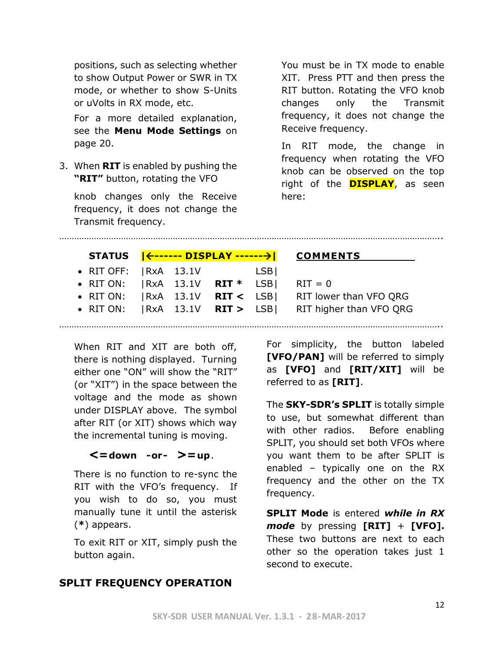positions, such as selecting whether to show Output Power or SWR in TX mode, or whether to show S-Units or uVolts in RX mode, etc.

For a more detailed explanation, see the **Menu Mode Settings** on page 20.

3. When **RIT** is enabled by pushing the **"RIT"** button, rotating the VFO

knob changes only the Receive frequency, it does not change the Transmit frequency.

You must be in TX mode to enable XIT. Press PTT and then press the RIT button. Rotating the VFO knob changes only the Transmit frequency, it does not change the Receive frequency.

In RIT mode, the change in frequency when rotating the VFO knob can be observed on the top right of the **DISPLAY**, as seen here:

………………………………………………………………………………………………………………………………………..

|                                              |  |       | STATUS   <------ DISPLAY ------->  COMMENTS                 |
|----------------------------------------------|--|-------|-------------------------------------------------------------|
| • RIT OFF: $ RxA 13.1V $                     |  | LSB I |                                                             |
| • RIT ON: $ RxA \t13.1V \tRT^* LSB $ RIT = 0 |  |       |                                                             |
|                                              |  |       | • RIT ON: $ RxA \t13.1V \tRT < LSB $ RIT lower than VFO QRG |

• RIT ON: |RxA 13.1V **RIT >** LSB| RIT higher than VFO QRG

When RIT and XIT are both off, there is nothing displayed. Turning either one "ON" will show the "RIT" (or "XIT") in the space between the voltage and the mode as shown under DISPLAY above. The symbol after RIT (or XIT) shows which way the incremental tuning is moving.

## **<=down -or- >=up**.

There is no function to re-sync the RIT with the VFO's frequency. If you wish to do so, you must manually tune it until the asterisk (**\***) appears.

To exit RIT or XIT, simply push the button again.

For simplicity, the button labeled **[VFO/PAN]** will be referred to simply as **[VFO]** and **[RIT/XIT]** will be referred to as **[RIT]**.

The **SKY-SDR's SPLIT** is totally simple to use, but somewhat different than with other radios. Before enabling SPLIT, you should set both VFOs where you want them to be after SPLIT is enabled – typically one on the RX frequency and the other on the TX frequency.

**SPLIT Mode** is entered *while in RX mode* by pressing **[RIT]** + **[VFO].** These two buttons are next to each other so the operation takes just 1 second to execute.

## **SPLIT FREQUENCY OPERATION**

………………………………………………………………………………………………………………………………………..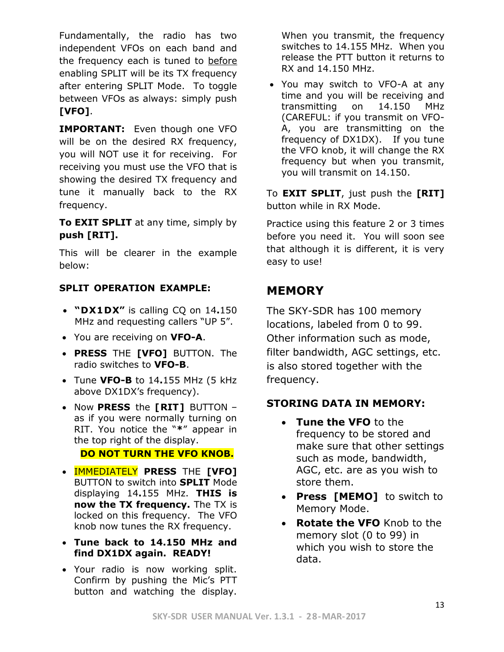Fundamentally, the radio has two independent VFOs on each band and the frequency each is tuned to before enabling SPLIT will be its TX frequency after entering SPLIT Mode. To toggle between VFOs as always: simply push **[VFO]**.

**IMPORTANT:** Even though one VFO will be on the desired RX frequency, you will NOT use it for receiving. For receiving you must use the VFO that is showing the desired TX frequency and tune it manually back to the RX frequency.

**To EXIT SPLIT** at any time, simply by **push [RIT].**

This will be clearer in the example below:

#### **SPLIT OPERATION EXAMPLE:**

- **"DX1DX"** is calling CQ on 14**.**150 MHz and requesting callers "UP 5".
- You are receiving on **VFO-A**.
- **PRESS** THE **[VFO]** BUTTON. The radio switches to **VFO-B**.
- Tune **VFO-B** to 14**.**155 MHz (5 kHz above DX1DX's frequency).
- Now **PRESS** the **[RIT]** BUTTON as if you were normally turning on RIT. You notice the "**\***" appear in the top right of the display.

#### **DO NOT TURN THE VFO KNOB.**

- IMMEDIATELY **PRESS** THE **[VFO]** BUTTON to switch into **SPLIT** Mode displaying 14**.**155 MHz. **THIS is now the TX frequency.** The TX is locked on this frequency. The VFO knob now tunes the RX frequency.
- **Tune back to 14.150 MHz and find DX1DX again. READY!**
- Your radio is now working split. Confirm by pushing the Mic's PTT button and watching the display.

When you transmit, the frequency switches to 14.155 MHz. When you release the PTT button it returns to RX and 14.150 MHz.

• You may switch to VFO-A at any time and you will be receiving and transmitting on 14.150 MHz (CAREFUL: if you transmit on VFO-A, you are transmitting on the frequency of DX1DX). If you tune the VFO knob, it will change the RX frequency but when you transmit, you will transmit on 14.150.

To **EXIT SPLIT**, just push the **[RIT]** button while in RX Mode.

Practice using this feature 2 or 3 times before you need it. You will soon see that although it is different, it is very easy to use!

# **MEMORY**

The SKY-SDR has 100 memory locations, labeled from 0 to 99. Other information such as mode, filter bandwidth, AGC settings, etc. is also stored together with the frequency.

## **STORING DATA IN MEMORY:**

- **Tune the VFO** to the frequency to be stored and make sure that other settings such as mode, bandwidth, AGC, etc. are as you wish to store them.
- **Press [MEMO]** to switch to Memory Mode.
- **Rotate the VFO** Knob to the memory slot (0 to 99) in which you wish to store the data.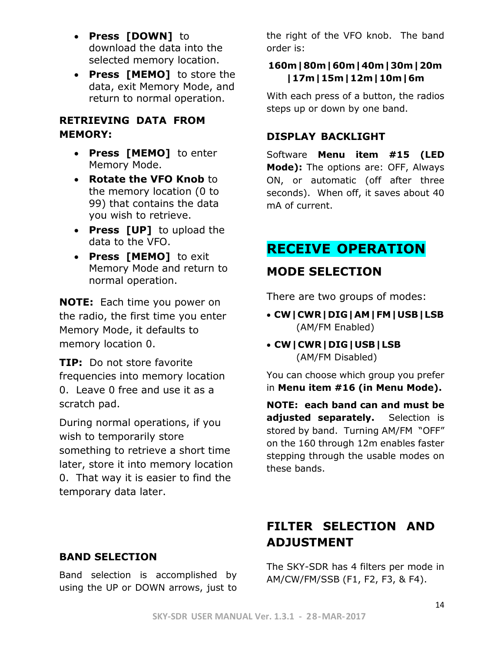- **Press [DOWN]** to download the data into the selected memory location.
- **Press [MEMO]** to store the data, exit Memory Mode, and return to normal operation.

## **RETRIEVING DATA FROM MEMORY:**

- **Press [MEMO]** to enter Memory Mode.
- **Rotate the VFO Knob** to the memory location (0 to 99) that contains the data you wish to retrieve.
- **Press [UP]** to upload the data to the VFO.
- **Press [MEMO]** to exit Memory Mode and return to normal operation.

**NOTE:** Each time you power on the radio, the first time you enter Memory Mode, it defaults to memory location 0.

**TIP:** Do not store favorite frequencies into memory location 0. Leave 0 free and use it as a scratch pad.

During normal operations, if you wish to temporarily store something to retrieve a short time later, store it into memory location 0. That way it is easier to find the temporary data later.

the right of the VFO knob. The band order is:

## **160m|80m|60m|40m|30m|20m |17m|15m|12m|10m|6m**

With each press of a button, the radios steps up or down by one band.

## **DISPLAY BACKLIGHT**

Software **Menu item #15 (LED Mode):** The options are: OFF, Always ON, or automatic (off after three seconds). When off, it saves about 40 mA of current.

# **RECEIVE OPERATION**

# **MODE SELECTION**

There are two groups of modes:

- **CW|CWR|DIG|AM|FM|USB|LSB** (AM/FM Enabled)
- **CW|CWR|DIG|USB|LSB** (AM/FM Disabled)

You can choose which group you prefer in **Menu item #16 (in Menu Mode).**

**NOTE: each band can and must be**  adjusted separately. Selection is stored by band. Turning AM/FM "OFF" on the 160 through 12m enables faster stepping through the usable modes on these bands.

# **FILTER SELECTION AND ADJUSTMENT**

The SKY-SDR has 4 filters per mode in AM/CW/FM/SSB (F1, F2, F3, & F4).

## **BAND SELECTION**

Band selection is accomplished by using the UP or DOWN arrows, just to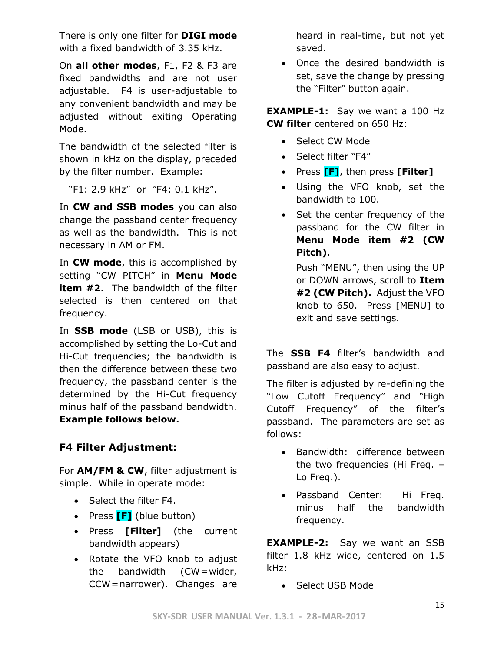There is only one filter for **DIGI mode** with a fixed bandwidth of 3.35 kHz.

On **all other modes**, F1, F2 & F3 are fixed bandwidths and are not user adjustable. F4 is user-adjustable to any convenient bandwidth and may be adjusted without exiting Operating Mode.

The bandwidth of the selected filter is shown in kHz on the display, preceded by the filter number. Example:

"F1: 2.9 kHz" or "F4: 0.1 kHz".

In **CW and SSB modes** you can also change the passband center frequency as well as the bandwidth. This is not necessary in AM or FM.

In **CW mode**, this is accomplished by setting "CW PITCH" in **Menu Mode item #2**. The bandwidth of the filter selected is then centered on that frequency.

In **SSB mode** (LSB or USB), this is accomplished by setting the Lo-Cut and Hi-Cut frequencies; the bandwidth is then the difference between these two frequency, the passband center is the determined by the Hi-Cut frequency minus half of the passband bandwidth. **Example follows below.**

## **F4 Filter Adjustment:**

For **AM/FM & CW**, filter adjustment is simple. While in operate mode:

- Select the filter F4.
- Press **[F]** (blue button)
- Press **[Filter]** (the current bandwidth appears)
- Rotate the VFO knob to adjust the bandwidth (CW=wider, CCW=narrower). Changes are

heard in real-time, but not yet saved.

• Once the desired bandwidth is set, save the change by pressing the "Filter" button again.

**EXAMPLE-1:** Say we want a 100 Hz **CW filter** centered on 650 Hz:

- Select CW Mode
- Select filter "F4"
- Press **[F]**, then press **[Filter]**
- Using the VFO knob, set the bandwidth to 100.
- Set the center frequency of the passband for the CW filter in **Menu Mode item #2 (CW Pitch).**

Push "MENU", then using the UP or DOWN arrows, scroll to **Item #2 (CW Pitch).** Adjust the VFO knob to 650. Press [MENU] to exit and save settings.

The **SSB F4** filter's bandwidth and passband are also easy to adjust.

The filter is adjusted by re-defining the "Low Cutoff Frequency" and "High Cutoff Frequency" of the filter's passband. The parameters are set as follows:

- Bandwidth: difference between the two frequencies (Hi Freq. – Lo Freq.).
- Passband Center: Hi Freq. minus half the bandwidth frequency.

**EXAMPLE-2:** Say we want an SSB filter 1.8 kHz wide, centered on 1.5 kHz:

• Select USB Mode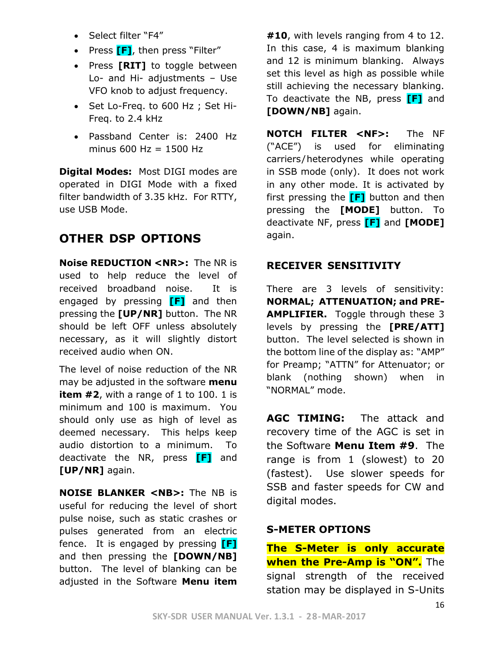- Select filter "F4"
- Press **[F]**, then press "Filter"
- Press **[RIT]** to toggle between Lo- and Hi- adjustments – Use VFO knob to adjust frequency.
- Set Lo-Freq. to 600 Hz ; Set Hi-Freq. to 2.4 kHz
- Passband Center is: 2400 Hz minus  $600$  Hz = 1500 Hz

**Digital Modes:** Most DIGI modes are operated in DIGI Mode with a fixed filter bandwidth of 3.35 kHz. For RTTY, use USB Mode.

# **OTHER DSP OPTIONS**

**Noise REDUCTION <NR>:** The NR is used to help reduce the level of received broadband noise. It is engaged by pressing **[F]** and then pressing the **[UP/NR]** button. The NR should be left OFF unless absolutely necessary, as it will slightly distort received audio when ON.

The level of noise reduction of the NR may be adjusted in the software **menu item #2**, with a range of 1 to 100. 1 is minimum and 100 is maximum. You should only use as high of level as deemed necessary. This helps keep audio distortion to a minimum. To deactivate the NR, press **[F]** and **[UP/NR]** again.

**NOISE BLANKER <NB>:** The NB is useful for reducing the level of short pulse noise, such as static crashes or pulses generated from an electric fence. It is engaged by pressing **[F]** and then pressing the **[DOWN/NB]** button. The level of blanking can be adjusted in the Software **Menu item** 

**#10**, with levels ranging from 4 to 12. In this case, 4 is maximum blanking and 12 is minimum blanking. Always set this level as high as possible while still achieving the necessary blanking. To deactivate the NB, press **[F]** and **[DOWN/NB]** again.

**NOTCH FILTER <NF>:** The NF ("ACE") is used for eliminating carriers/heterodynes while operating in SSB mode (only). It does not work in any other mode. It is activated by first pressing the **[F]** button and then pressing the **[MODE]** button. To deactivate NF, press **[F]** and **[MODE]** again.

#### **RECEIVER SENSITIVITY**

There are 3 levels of sensitivity: **NORMAL; ATTENUATION; and PRE-AMPLIFIER.** Toggle through these 3 levels by pressing the **[PRE/ATT]** button. The level selected is shown in the bottom line of the display as: "AMP" for Preamp; "ATTN" for Attenuator; or blank (nothing shown) when in "NORMAL" mode.

**AGC TIMING:** The attack and recovery time of the AGC is set in the Software **Menu Item #9**. The range is from 1 (slowest) to 20 (fastest). Use slower speeds for SSB and faster speeds for CW and digital modes.

#### **S-METER OPTIONS**

**The S-Meter is only accurate when the Pre-Amp is "ON".** The signal strength of the received station may be displayed in S-Units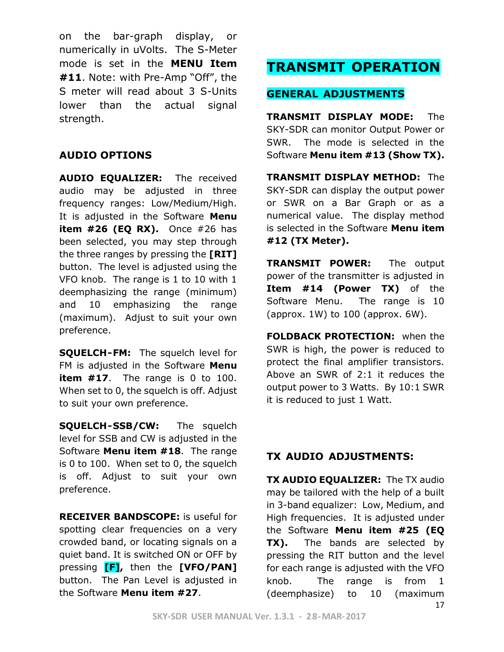on the bar-graph display, or numerically in uVolts. The S-Meter mode is set in the **MENU Item #11**. Note: with Pre-Amp "Off", the S meter will read about 3 S-Units lower than the actual signal strength.

#### **AUDIO OPTIONS**

**AUDIO EQUALIZER:** The received audio may be adjusted in three frequency ranges: Low/Medium/High. It is adjusted in the Software **Menu item #26 (EQ RX).** Once #26 has been selected, you may step through the three ranges by pressing the **[RIT]** button. The level is adjusted using the VFO knob. The range is 1 to 10 with 1 deemphasizing the range (minimum) and 10 emphasizing the range (maximum). Adjust to suit your own preference.

**SQUELCH-FM:** The squelch level for FM is adjusted in the Software **Menu item #17**. The range is 0 to 100. When set to 0, the squelch is off. Adjust to suit your own preference.

**SQUELCH-SSB/CW:** The squelch level for SSB and CW is adjusted in the Software **Menu item #18**. The range is 0 to 100. When set to 0, the squelch is off. Adjust to suit your own preference.

**RECEIVER BANDSCOPE:** is useful for spotting clear frequencies on a very crowded band, or locating signals on a quiet band. It is switched ON or OFF by pressing **[F],** then the **[VFO/PAN]** button. The Pan Level is adjusted in the Software **Menu item #27**.

# **TRANSMIT OPERATION**

## **GENERAL ADJUSTMENTS**

**TRANSMIT DISPLAY MODE:** The SKY-SDR can monitor Output Power or SWR. The mode is selected in the Software **Menu item #13 (Show TX).**

**TRANSMIT DISPLAY METHOD:** The SKY-SDR can display the output power or SWR on a Bar Graph or as a numerical value. The display method is selected in the Software **Menu item #12 (TX Meter).**

**TRANSMIT POWER:** The output power of the transmitter is adjusted in **Item #14 (Power TX)** of the Software Menu. The range is 10 (approx. 1W) to 100 (approx. 6W).

**FOLDBACK PROTECTION:** when the SWR is high, the power is reduced to protect the final amplifier transistors. Above an SWR of 2:1 it reduces the output power to 3 Watts. By 10:1 SWR it is reduced to just 1 Watt.

## **TX AUDIO ADJUSTMENTS:**

**TX AUDIO EQUALIZER:** The TX audio may be tailored with the help of a built in 3-band equalizer: Low, Medium, and High frequencies. It is adjusted under the Software **Menu item #25 (EQ TX).** The bands are selected by pressing the RIT button and the level for each range is adjusted with the VFO knob. The range is from 1 (deemphasize) to 10 (maximum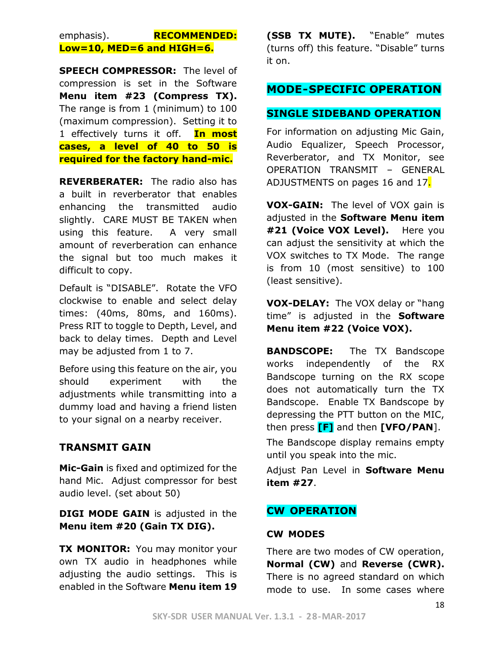### emphasis). **RECOMMENDED: Low=10, MED=6 and HIGH=6.**

**SPEECH COMPRESSOR:** The level of compression is set in the Software **Menu item #23 (Compress TX).** The range is from 1 (minimum) to 100 (maximum compression). Setting it to 1 effectively turns it off. **In most cases, a level of 40 to 50 is required for the factory hand-mic.**

**REVERBERATER:** The radio also has a built in reverberator that enables enhancing the transmitted audio slightly. CARE MUST BE TAKEN when using this feature. A very small amount of reverberation can enhance the signal but too much makes it difficult to copy.

Default is "DISABLE". Rotate the VFO clockwise to enable and select delay times: (40ms, 80ms, and 160ms). Press RIT to toggle to Depth, Level, and back to delay times. Depth and Level may be adjusted from 1 to 7.

Before using this feature on the air, you should experiment with the adjustments while transmitting into a dummy load and having a friend listen to your signal on a nearby receiver.

#### **TRANSMIT GAIN**

**Mic-Gain** is fixed and optimized for the hand Mic. Adjust compressor for best audio level. (set about 50)

**DIGI MODE GAIN** is adjusted in the **Menu item #20 (Gain TX DIG).**

**TX MONITOR:** You may monitor your own TX audio in headphones while adjusting the audio settings. This is enabled in the Software **Menu item 19**

**(SSB TX MUTE).** "Enable" mutes (turns off) this feature. "Disable" turns it on.

## **MODE-SPECIFIC OPERATION**

#### **SINGLE SIDEBAND OPERATION**

For information on adjusting Mic Gain, Audio Equalizer, Speech Processor, Reverberator, and TX Monitor, see OPERATION TRANSMIT – GENERAL ADJUSTMENTS on pages 16 and 17.

**VOX-GAIN:** The level of VOX gain is adjusted in the **Software Menu item #21 (Voice VOX Level).** Here you can adjust the sensitivity at which the VOX switches to TX Mode. The range is from 10 (most sensitive) to 100 (least sensitive).

**VOX-DELAY:** The VOX delay or "hang time" is adjusted in the **Software Menu item #22 (Voice VOX).**

**BANDSCOPE:** The TX Bandscope works independently of the RX Bandscope turning on the RX scope does not automatically turn the TX Bandscope. Enable TX Bandscope by depressing the PTT button on the MIC, then press **[F]** and then **[VFO/PAN**].

The Bandscope display remains empty until you speak into the mic.

Adjust Pan Level in **Software Menu item #27**.

#### **CW OPERATION**

#### **CW MODES**

There are two modes of CW operation, **Normal (CW)** and **Reverse (CWR).** There is no agreed standard on which mode to use. In some cases where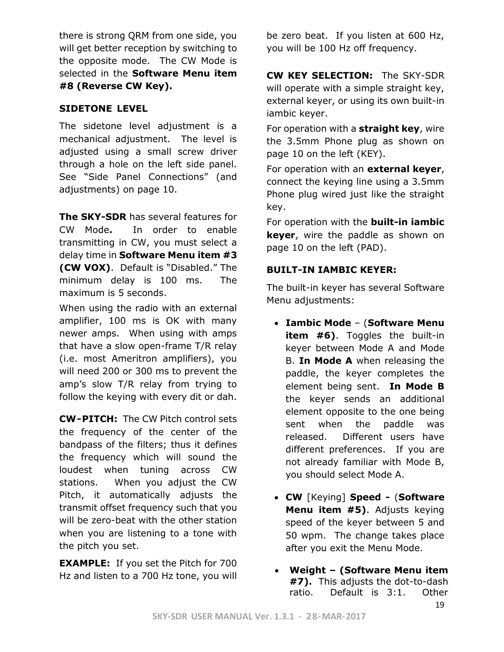there is strong QRM from one side, you will get better reception by switching to the opposite mode. The CW Mode is selected in the **Software Menu item #8 (Reverse CW Key).**

#### **SIDETONE LEVEL**

The sidetone level adjustment is a mechanical adjustment. The level is adjusted using a small screw driver through a hole on the left side panel. See "Side Panel Connections" (and adjustments) on page 10.

**The SKY-SDR** has several features for CW Mode**.** In order to enable transmitting in CW, you must select a delay time in **Software Menu item #3 (CW VOX)**. Default is "Disabled." The minimum delay is 100 ms. The maximum is 5 seconds.

When using the radio with an external amplifier, 100 ms is OK with many newer amps. When using with amps that have a slow open-frame T/R relay (i.e. most Ameritron amplifiers), you will need 200 or 300 ms to prevent the amp's slow T/R relay from trying to follow the keying with every dit or dah.

**CW-PITCH:** The CW Pitch control sets the frequency of the center of the bandpass of the filters; thus it defines the frequency which will sound the loudest when tuning across CW stations. When you adjust the CW Pitch, it automatically adjusts the transmit offset frequency such that you will be zero-beat with the other station when you are listening to a tone with the pitch you set.

**EXAMPLE:** If you set the Pitch for 700 Hz and listen to a 700 Hz tone, you will

be zero beat. If you listen at 600 Hz, you will be 100 Hz off frequency.

**CW KEY SELECTION:** The SKY-SDR will operate with a simple straight key, external keyer, or using its own built-in iambic keyer.

For operation with a **straight key**, wire the 3.5mm Phone plug as shown on page 10 on the left (KEY).

For operation with an **external keyer**, connect the keying line using a 3.5mm Phone plug wired just like the straight key.

For operation with the **built-in iambic keyer**, wire the paddle as shown on page 10 on the left (PAD).

#### **BUILT-IN IAMBIC KEYER:**

The built-in keyer has several Software Menu adjustments:

- **Iambic Mode** (**Software Menu item #6)**. Toggles the built-in keyer between Mode A and Mode B. **In Mode A** when releasing the paddle, the keyer completes the element being sent. **In Mode B** the keyer sends an additional element opposite to the one being sent when the paddle was released. Different users have different preferences. If you are not already familiar with Mode B, you should select Mode A.
- **CW** [Keying] **Speed -** (**Software Menu item #5)**. Adjusts keying speed of the keyer between 5 and 50 wpm. The change takes place after you exit the Menu Mode.
- **Weight – (Software Menu item #7).** This adjusts the dot-to-dash ratio. Default is 3:1. Other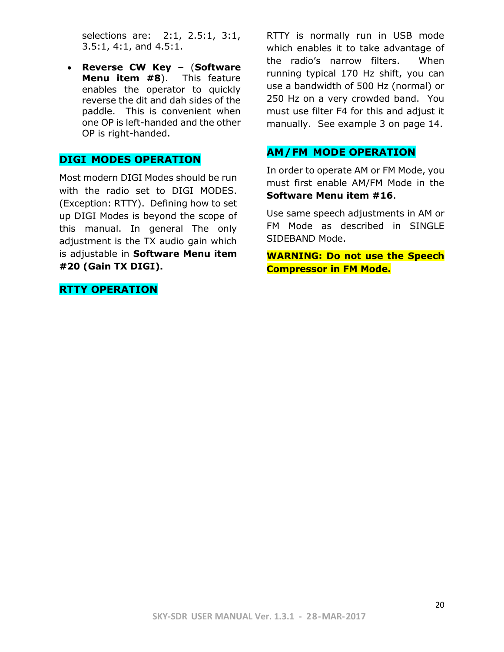selections are: 2:1, 2.5:1, 3:1, 3.5:1, 4:1, and 4.5:1.

• **Reverse CW Key –** (**Software Menu item #8**). This feature enables the operator to quickly reverse the dit and dah sides of the paddle. This is convenient when one OP is left-handed and the other OP is right-handed.

#### **DIGI MODES OPERATION**

Most modern DIGI Modes should be run with the radio set to DIGI MODES. (Exception: RTTY). Defining how to set up DIGI Modes is beyond the scope of this manual. In general The only adjustment is the TX audio gain which is adjustable in **Software Menu item #20 (Gain TX DIGI).**

**RTTY OPERATION**

RTTY is normally run in USB mode which enables it to take advantage of the radio's narrow filters. When running typical 170 Hz shift, you can use a bandwidth of 500 Hz (normal) or 250 Hz on a very crowded band. You must use filter F4 for this and adjust it manually. See example 3 on page 14.

#### **AM/FM MODE OPERATION**

In order to operate AM or FM Mode, you must first enable AM/FM Mode in the **Software Menu item #16**.

Use same speech adjustments in AM or FM Mode as described in SINGLE SIDEBAND Mode.

**WARNING: Do not use the Speech Compressor in FM Mode.**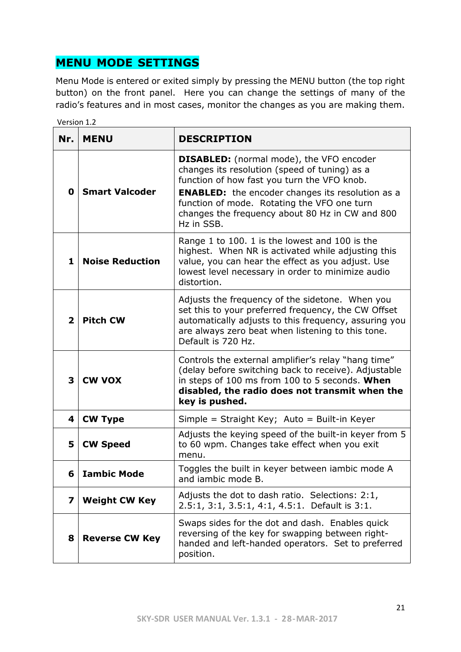# **MENU MODE SETTINGS**

Version 1.2

Menu Mode is entered or exited simply by pressing the MENU button (the top right button) on the front panel. Here you can change the settings of many of the radio's features and in most cases, monitor the changes as you are making them.

| Nr.                     | <b>MENU</b>                                                                                                                                                                                                                                                   | <b>DESCRIPTION</b>                                                                                                                                                                                                                                                                                                         |  |  |  |  |
|-------------------------|---------------------------------------------------------------------------------------------------------------------------------------------------------------------------------------------------------------------------------------------------------------|----------------------------------------------------------------------------------------------------------------------------------------------------------------------------------------------------------------------------------------------------------------------------------------------------------------------------|--|--|--|--|
| 0                       | <b>Smart Valcoder</b>                                                                                                                                                                                                                                         | <b>DISABLED:</b> (normal mode), the VFO encoder<br>changes its resolution (speed of tuning) as a<br>function of how fast you turn the VFO knob.<br><b>ENABLED:</b> the encoder changes its resolution as a<br>function of mode. Rotating the VFO one turn<br>changes the frequency about 80 Hz in CW and 800<br>Hz in SSB. |  |  |  |  |
| 1                       | Range 1 to 100. 1 is the lowest and 100 is the<br>highest. When NR is activated while adjusting this<br><b>Noise Reduction</b><br>value, you can hear the effect as you adjust. Use<br>lowest level necessary in order to minimize audio<br>distortion.       |                                                                                                                                                                                                                                                                                                                            |  |  |  |  |
| $\mathbf{2}$            | Adjusts the frequency of the sidetone. When you<br>set this to your preferred frequency, the CW Offset<br><b>Pitch CW</b><br>automatically adjusts to this frequency, assuring you<br>are always zero beat when listening to this tone.<br>Default is 720 Hz. |                                                                                                                                                                                                                                                                                                                            |  |  |  |  |
| 3                       | <b>CW VOX</b>                                                                                                                                                                                                                                                 | Controls the external amplifier's relay "hang time"<br>(delay before switching back to receive). Adjustable<br>in steps of 100 ms from 100 to 5 seconds. When<br>disabled, the radio does not transmit when the<br>key is pushed.                                                                                          |  |  |  |  |
| 4                       | <b>CW Type</b>                                                                                                                                                                                                                                                | Simple = Straight Key; Auto = Built-in Keyer                                                                                                                                                                                                                                                                               |  |  |  |  |
| 5                       | <b>CW Speed</b>                                                                                                                                                                                                                                               | Adjusts the keying speed of the built-in keyer from 5<br>to 60 wpm. Changes take effect when you exit<br>menu.                                                                                                                                                                                                             |  |  |  |  |
| 6.                      | <b>Iambic Mode</b>                                                                                                                                                                                                                                            | Toggles the built in keyer between iambic mode A<br>and jambic mode B.                                                                                                                                                                                                                                                     |  |  |  |  |
| $\overline{\mathbf{z}}$ | Adjusts the dot to dash ratio. Selections: 2:1,<br><b>Weight CW Key</b><br>2.5:1, 3:1, 3.5:1, 4:1, 4.5:1. Default is 3:1.                                                                                                                                     |                                                                                                                                                                                                                                                                                                                            |  |  |  |  |
| 8                       | <b>Reverse CW Key</b>                                                                                                                                                                                                                                         | Swaps sides for the dot and dash. Enables quick<br>reversing of the key for swapping between right-<br>handed and left-handed operators. Set to preferred<br>position.                                                                                                                                                     |  |  |  |  |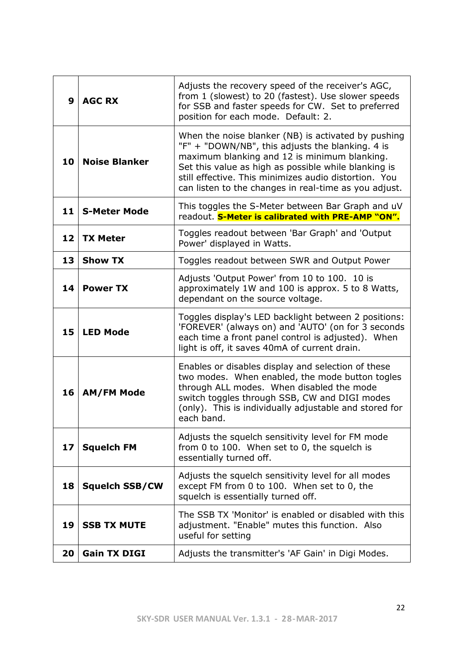| 9  | <b>AGC RX</b>                                                                                                                                                                                                                        | Adjusts the recovery speed of the receiver's AGC,<br>from 1 (slowest) to 20 (fastest). Use slower speeds<br>for SSB and faster speeds for CW. Set to preferred<br>position for each mode. Default: 2.                                                                                                                             |  |  |  |
|----|--------------------------------------------------------------------------------------------------------------------------------------------------------------------------------------------------------------------------------------|-----------------------------------------------------------------------------------------------------------------------------------------------------------------------------------------------------------------------------------------------------------------------------------------------------------------------------------|--|--|--|
| 10 | <b>Noise Blanker</b>                                                                                                                                                                                                                 | When the noise blanker (NB) is activated by pushing<br>"F" + "DOWN/NB", this adjusts the blanking. 4 is<br>maximum blanking and 12 is minimum blanking.<br>Set this value as high as possible while blanking is<br>still effective. This minimizes audio distortion. You<br>can listen to the changes in real-time as you adjust. |  |  |  |
| 11 | <b>S-Meter Mode</b>                                                                                                                                                                                                                  | This toggles the S-Meter between Bar Graph and uV<br>readout. S-Meter is calibrated with PRE-AMP "ON".                                                                                                                                                                                                                            |  |  |  |
| 12 | <b>TX Meter</b>                                                                                                                                                                                                                      | Toggles readout between 'Bar Graph' and 'Output<br>Power' displayed in Watts.                                                                                                                                                                                                                                                     |  |  |  |
| 13 | <b>Show TX</b>                                                                                                                                                                                                                       | Toggles readout between SWR and Output Power                                                                                                                                                                                                                                                                                      |  |  |  |
| 14 | <b>Power TX</b>                                                                                                                                                                                                                      | Adjusts 'Output Power' from 10 to 100. 10 is<br>approximately 1W and 100 is approx. 5 to 8 Watts,<br>dependant on the source voltage.                                                                                                                                                                                             |  |  |  |
| 15 | Toggles display's LED backlight between 2 positions:<br>'FOREVER' (always on) and 'AUTO' (on for 3 seconds<br><b>LED Mode</b><br>each time a front panel control is adjusted). When<br>light is off, it saves 40mA of current drain. |                                                                                                                                                                                                                                                                                                                                   |  |  |  |
| 16 | <b>AM/FM Mode</b>                                                                                                                                                                                                                    | Enables or disables display and selection of these<br>two modes. When enabled, the mode button togles<br>through ALL modes. When disabled the mode<br>switch toggles through SSB, CW and DIGI modes<br>(only). This is individually adjustable and stored for<br>each band.                                                       |  |  |  |
| 17 | Adjusts the squelch sensitivity level for FM mode<br><b>Squelch FM</b><br>from 0 to 100. When set to 0, the squelch is<br>essentially turned off.                                                                                    |                                                                                                                                                                                                                                                                                                                                   |  |  |  |
| 18 | Adjusts the squelch sensitivity level for all modes<br><b>Squelch SSB/CW</b><br>except FM from 0 to 100. When set to 0, the<br>squelch is essentially turned off.                                                                    |                                                                                                                                                                                                                                                                                                                                   |  |  |  |
| 19 | <b>SSB TX MUTE</b>                                                                                                                                                                                                                   | The SSB TX 'Monitor' is enabled or disabled with this<br>adjustment. "Enable" mutes this function. Also<br>useful for setting                                                                                                                                                                                                     |  |  |  |
| 20 | <b>Gain TX DIGI</b>                                                                                                                                                                                                                  | Adjusts the transmitter's 'AF Gain' in Digi Modes.                                                                                                                                                                                                                                                                                |  |  |  |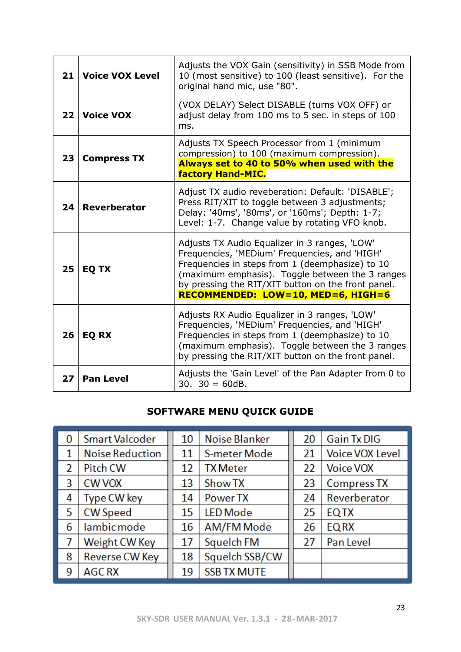| 21 | <b>Voice VOX Level</b>                                                                                                                                                                                                                                                     | Adjusts the VOX Gain (sensitivity) in SSB Mode from<br>10 (most sensitive) to 100 (least sensitive). For the<br>original hand mic, use "80".                                                                                                                                                     |  |  |  |  |
|----|----------------------------------------------------------------------------------------------------------------------------------------------------------------------------------------------------------------------------------------------------------------------------|--------------------------------------------------------------------------------------------------------------------------------------------------------------------------------------------------------------------------------------------------------------------------------------------------|--|--|--|--|
| 22 | (VOX DELAY) Select DISABLE (turns VOX OFF) or<br><b>Voice VOX</b><br>adjust delay from 100 ms to 5 sec. in steps of 100<br>ms.                                                                                                                                             |                                                                                                                                                                                                                                                                                                  |  |  |  |  |
| 23 | <b>Compress TX</b>                                                                                                                                                                                                                                                         | Adjusts TX Speech Processor from 1 (minimum<br>compression) to 100 (maximum compression).<br>Always set to 40 to 50% when used with the<br>factory Hand-MIC.                                                                                                                                     |  |  |  |  |
| 24 | <b>Reverberator</b>                                                                                                                                                                                                                                                        | Adjust TX audio reveberation: Default: 'DISABLE';<br>Press RIT/XIT to toggle between 3 adjustments;<br>Delay: '40ms', '80ms', or '160ms'; Depth: 1-7;<br>Level: 1-7. Change value by rotating VFO knob.                                                                                          |  |  |  |  |
| 25 | <b>EQ TX</b>                                                                                                                                                                                                                                                               | Adjusts TX Audio Equalizer in 3 ranges, 'LOW'<br>Frequencies, 'MEDium' Frequencies, and 'HIGH'<br>Frequencies in steps from 1 (deemphasize) to 10<br>(maximum emphasis). Toggle between the 3 ranges<br>by pressing the RIT/XIT button on the front panel.<br>RECOMMENDED: LOW=10, MED=6, HIGH=6 |  |  |  |  |
| 26 | Adjusts RX Audio Equalizer in 3 ranges, 'LOW'<br>Frequencies, 'MEDium' Frequencies, and 'HIGH'<br>Frequencies in steps from 1 (deemphasize) to 10<br><b>EQ RX</b><br>(maximum emphasis). Toggle between the 3 ranges<br>by pressing the RIT/XIT button on the front panel. |                                                                                                                                                                                                                                                                                                  |  |  |  |  |
| 27 | <b>Pan Level</b>                                                                                                                                                                                                                                                           | Adjusts the 'Gain Level' of the Pan Adapter from 0 to<br>$30.30 = 60dB.$                                                                                                                                                                                                                         |  |  |  |  |

# **SOFTWARE MENU QUICK GUIDE**

| 0                        | <b>Smart Valcoder</b>  | 10 | Noise Blanker       | 20 | <b>Gain Tx DIG</b>     |
|--------------------------|------------------------|----|---------------------|----|------------------------|
|                          | <b>Noise Reduction</b> | 11 | <b>S-meter Mode</b> | 21 | <b>Voice VOX Level</b> |
| $\overline{\phantom{a}}$ | <b>Pitch CW</b>        | 12 | <b>TX</b> Meter     | 22 | <b>Voice VOX</b>       |
| 3                        | <b>CW VOX</b>          | 13 | Show TX             | 23 | <b>Compress TX</b>     |
| 4                        | Type CW key            | 14 | Power TX            | 24 | Reverberator           |
| 5                        | <b>CW Speed</b>        | 15 | <b>LED</b> Mode     | 25 | <b>EQTX</b>            |
| 6                        | lambic mode            | 16 | AM/FM Mode          | 26 | <b>EQRX</b>            |
| 7                        | Weight CW Key          | 17 | Squelch FM          | 27 | Pan Level              |
| 8                        | Reverse CW Key         | 18 | Squelch SSB/CW      |    |                        |
| 9                        | <b>AGC RX</b>          | 19 | <b>SSB TX MUTE</b>  |    |                        |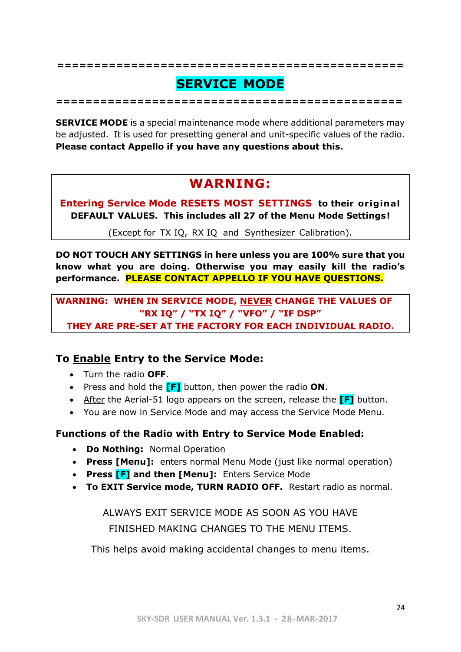# **SERVICE MODE**

**===============================================**

**===============================================**

**SERVICE MODE** is a special maintenance mode where additional parameters may be adjusted. It is used for presetting general and unit-specific values of the radio. **Please contact Appello if you have any questions about this.**

# **WARNING:**

**Entering Service Mode RESETS MOST SETTINGS to their or ig ina l DEFAULT VALUES. This includes all 27 of the Menu Mode Settings!**

(Except for TX IQ, RX IQ and Synthesizer Calibration).

**DO NOT TOUCH ANY SETTINGS in here unless you are 100% sure that you know what you are doing. Otherwise you may easily kill the radio's performance. PLEASE CONTACT APPELLO IF YOU HAVE QUESTIONS.**

**WARNING: WHEN IN SERVICE MODE, NEVER CHANGE THE VALUES OF "RX IQ" / "TX IQ" / "VFO" / "IF DSP" THEY ARE PRE-SET AT THE FACTORY FOR EACH INDIVIDUAL RADIO.**

# **To Enable Entry to the Service Mode:**

- Turn the radio **OFF**.
- Press and hold the **[F]** button, then power the radio **ON**.
- After the Aerial-51 logo appears on the screen, release the **[F]** button.
- You are now in Service Mode and may access the Service Mode Menu.

## **Functions of the Radio with Entry to Service Mode Enabled:**

- **Do Nothing:** Normal Operation
- **Press [Menu]:** enters normal Menu Mode (just like normal operation)
- **Press [F] and then [Menu]:** Enters Service Mode
- **To EXIT Service mode, TURN RADIO OFF.** Restart radio as normal.

ALWAYS EXIT SERVICE MODE AS SOON AS YOU HAVE FINISHED MAKING CHANGES TO THE MENU ITEMS.

This helps avoid making accidental changes to menu items.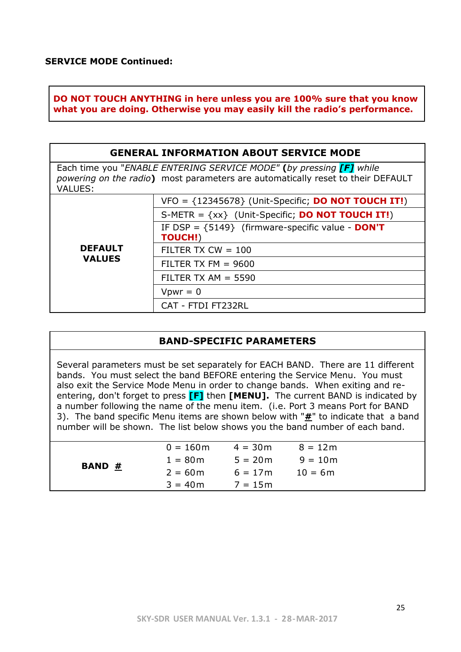**DO NOT TOUCH ANYTHING in here unless you are 100% sure that you know what you are doing. Otherwise you may easily kill the radio's performance.**

#### **GENERAL INFORMATION ABOUT SERVICE MODE**

Each time you "*ENABLE ENTERING SERVICE MODE"* **(***by pressing [F] while powering on the radio***)** most parameters are automatically reset to their DEFAULT VALUES:

|                | $VFO = \{12345678\}$ (Unit-Specific; <b>DO NOT TOUCH IT!</b> ) |
|----------------|----------------------------------------------------------------|
|                | S-METR = $\{xx\}$ (Unit-Specific; <b>DO NOT TOUCH IT!</b> )    |
|                | IF DSP = ${5149}$ (firmware-specific value - DON'T             |
|                | <b>TOUCH!)</b>                                                 |
| <b>DEFAULT</b> | FILTER TX $CW = 100$                                           |
| <b>VALUES</b>  | FILTER TX FM $= 9600$                                          |
|                | FILTER TX AM $=$ 5590                                          |
|                | $Vpwr = 0$                                                     |
|                | CAT - FTDI FT232RL                                             |

#### **BAND-SPECIFIC PARAMETERS**

Several parameters must be set separately for EACH BAND. There are 11 different bands. You must select the band BEFORE entering the Service Menu. You must also exit the Service Mode Menu in order to change bands. When exiting and reentering, don't forget to press **[F]** then **[MENU].** The current BAND is indicated by a number following the name of the menu item. (i.e. Port 3 means Port for BAND 3). The band specific Menu items are shown below with "**#**" to indicate that a band number will be shown. The list below shows you the band number of each band.

|        | $0 = 160m$ | $4 = 30m$ | $8 = 12m$ |  |
|--------|------------|-----------|-----------|--|
|        | $1 = 80m$  | $5 = 20m$ | $9 = 10m$ |  |
| BAND # | $2 = 60m$  | $6 = 17m$ | $10 = 6m$ |  |
|        | $3 = 40m$  | $7 = 15m$ |           |  |
|        |            |           |           |  |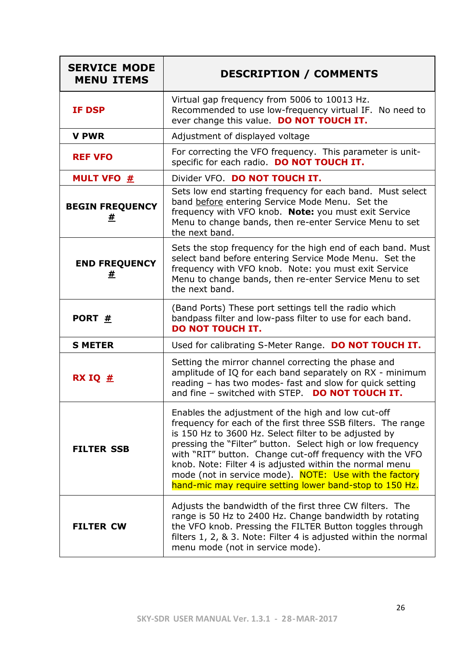| <b>SERVICE MODE</b><br><b>MENU ITEMS</b> | <b>DESCRIPTION / COMMENTS</b>                                                                                                                                                                                                                                                                                                                                                                                                                                                         |
|------------------------------------------|---------------------------------------------------------------------------------------------------------------------------------------------------------------------------------------------------------------------------------------------------------------------------------------------------------------------------------------------------------------------------------------------------------------------------------------------------------------------------------------|
| <b>IF DSP</b>                            | Virtual gap frequency from 5006 to 10013 Hz.<br>Recommended to use low-frequency virtual IF. No need to<br>ever change this value. DO NOT TOUCH IT.                                                                                                                                                                                                                                                                                                                                   |
| <b>V PWR</b>                             | Adjustment of displayed voltage                                                                                                                                                                                                                                                                                                                                                                                                                                                       |
| <b>REF VFO</b>                           | For correcting the VFO frequency. This parameter is unit-<br>specific for each radio. DO NOT TOUCH IT.                                                                                                                                                                                                                                                                                                                                                                                |
| <b>MULT VFO #</b>                        | Divider VFO. DO NOT TOUCH IT.                                                                                                                                                                                                                                                                                                                                                                                                                                                         |
| <b>BEGIN FREQUENCY</b><br>#              | Sets low end starting frequency for each band. Must select<br>band before entering Service Mode Menu. Set the<br>frequency with VFO knob. Note: you must exit Service<br>Menu to change bands, then re-enter Service Menu to set<br>the next band.                                                                                                                                                                                                                                    |
| <b>END FREQUENCY</b><br>#                | Sets the stop frequency for the high end of each band. Must<br>select band before entering Service Mode Menu. Set the<br>frequency with VFO knob. Note: you must exit Service<br>Menu to change bands, then re-enter Service Menu to set<br>the next band.                                                                                                                                                                                                                            |
| PORT #                                   | (Band Ports) These port settings tell the radio which<br>bandpass filter and low-pass filter to use for each band.<br><b>DO NOT TOUCH IT.</b>                                                                                                                                                                                                                                                                                                                                         |
| <b>S METER</b>                           | Used for calibrating S-Meter Range. DO NOT TOUCH IT.                                                                                                                                                                                                                                                                                                                                                                                                                                  |
| RX IQ $#$                                | Setting the mirror channel correcting the phase and<br>amplitude of IQ for each band separately on RX - minimum<br>reading - has two modes- fast and slow for quick setting<br>and fine - switched with STEP. DO NOT TOUCH IT.                                                                                                                                                                                                                                                        |
| <b>FILTER SSB</b>                        | Enables the adjustment of the high and low cut-off<br>frequency for each of the first three SSB filters. The range<br>is 150 Hz to 3600 Hz. Select filter to be adjusted by<br>pressing the "Filter" button. Select high or low frequency<br>with "RIT" button. Change cut-off frequency with the VFO<br>knob. Note: Filter 4 is adjusted within the normal menu<br>mode (not in service mode). NOTE: Use with the factory<br>hand-mic may require setting lower band-stop to 150 Hz. |
| <b>FILTER CW</b>                         | Adjusts the bandwidth of the first three CW filters. The<br>range is 50 Hz to 2400 Hz. Change bandwidth by rotating<br>the VFO knob. Pressing the FILTER Button toggles through<br>filters 1, 2, & 3. Note: Filter 4 is adjusted within the normal<br>menu mode (not in service mode).                                                                                                                                                                                                |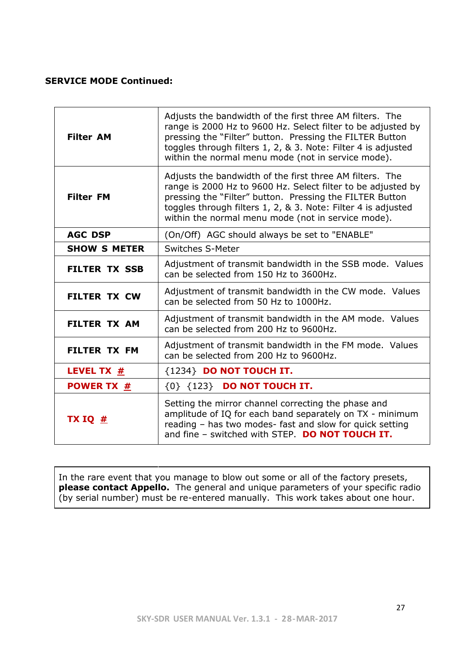#### **SERVICE MODE Continued:**

| <b>Filter AM</b>               | Adjusts the bandwidth of the first three AM filters. The<br>range is 2000 Hz to 9600 Hz. Select filter to be adjusted by<br>pressing the "Filter" button. Pressing the FILTER Button<br>toggles through filters 1, 2, & 3. Note: Filter 4 is adjusted<br>within the normal menu mode (not in service mode). |
|--------------------------------|-------------------------------------------------------------------------------------------------------------------------------------------------------------------------------------------------------------------------------------------------------------------------------------------------------------|
| <b>Filter FM</b>               | Adjusts the bandwidth of the first three AM filters. The<br>range is 2000 Hz to 9600 Hz. Select filter to be adjusted by<br>pressing the "Filter" button. Pressing the FILTER Button<br>toggles through filters 1, 2, & 3. Note: Filter 4 is adjusted<br>within the normal menu mode (not in service mode). |
| <b>AGC DSP</b>                 | (On/Off) AGC should always be set to "ENABLE"                                                                                                                                                                                                                                                               |
| <b>SHOW S METER</b>            | <b>Switches S-Meter</b>                                                                                                                                                                                                                                                                                     |
| <b>FILTER TX SSB</b>           | Adjustment of transmit bandwidth in the SSB mode. Values<br>can be selected from 150 Hz to 3600Hz.                                                                                                                                                                                                          |
| <b>FILTER TX CW</b>            | Adjustment of transmit bandwidth in the CW mode. Values<br>can be selected from 50 Hz to 1000Hz.                                                                                                                                                                                                            |
| <b>FILTER TX AM</b>            | Adjustment of transmit bandwidth in the AM mode. Values<br>can be selected from 200 Hz to 9600Hz.                                                                                                                                                                                                           |
| <b>FILTER TX FM</b>            | Adjustment of transmit bandwidth in the FM mode. Values<br>can be selected from 200 Hz to 9600Hz.                                                                                                                                                                                                           |
| <b>LEVEL TX <math>#</math></b> | {1234} DO NOT TOUCH IT.                                                                                                                                                                                                                                                                                     |
| <b>POWER TX #</b>              | {0} {123} DO NOT TOUCH IT.                                                                                                                                                                                                                                                                                  |
| TX IQ $#$                      | Setting the mirror channel correcting the phase and<br>amplitude of IQ for each band separately on TX - minimum<br>reading - has two modes- fast and slow for quick setting<br>and fine - switched with STEP. DO NOT TOUCH IT.                                                                              |

In the rare event that you manage to blow out some or all of the factory presets, **please contact Appello.** The general and unique parameters of your specific radio (by serial number) must be re-entered manually. This work takes about one hour.